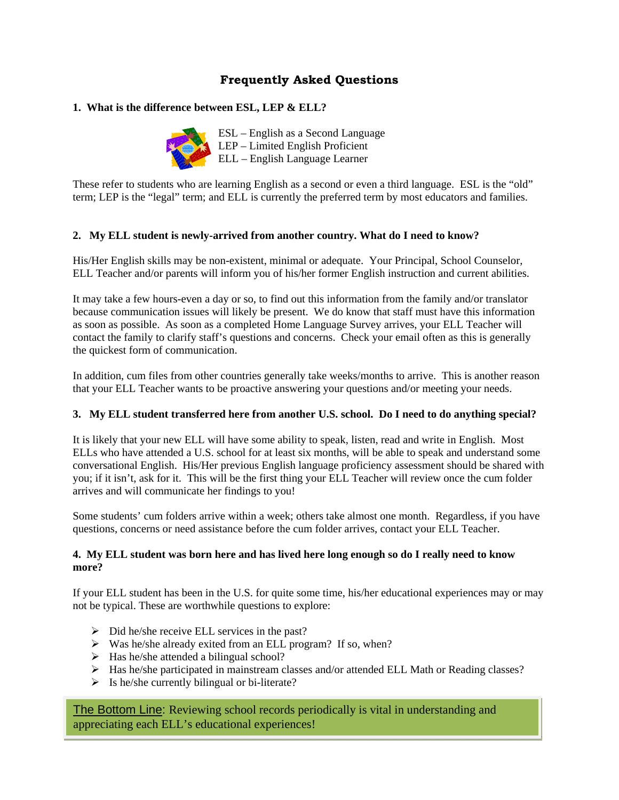# **Frequently Asked Questions**

# **1. What is the difference between ESL, LEP & ELL?**



ESL – English as a Second Language LEP – Limited English Proficient ELL – English Language Learner

These refer to students who are learning English as a second or even a third language. ESL is the "old" term; LEP is the "legal" term; and ELL is currently the preferred term by most educators and families.

### **2. My ELL student is newly-arrived from another country. What do I need to know?**

His/Her English skills may be non-existent, minimal or adequate. Your Principal, School Counselor, ELL Teacher and/or parents will inform you of his/her former English instruction and current abilities.

It may take a few hours-even a day or so, to find out this information from the family and/or translator because communication issues will likely be present. We do know that staff must have this information as soon as possible. As soon as a completed Home Language Survey arrives, your ELL Teacher will contact the family to clarify staff's questions and concerns. Check your email often as this is generally the quickest form of communication.

In addition, cum files from other countries generally take weeks/months to arrive. This is another reason that your ELL Teacher wants to be proactive answering your questions and/or meeting your needs.

## **3. My ELL student transferred here from another U.S. school. Do I need to do anything special?**

It is likely that your new ELL will have some ability to speak, listen, read and write in English. Most ELLs who have attended a U.S. school for at least six months, will be able to speak and understand some conversational English. His/Her previous English language proficiency assessment should be shared with you; if it isn't, ask for it. This will be the first thing your ELL Teacher will review once the cum folder arrives and will communicate her findings to you!

Some students' cum folders arrive within a week; others take almost one month. Regardless, if you have questions, concerns or need assistance before the cum folder arrives, contact your ELL Teacher.

### **4. My ELL student was born here and has lived here long enough so do I really need to know more?**

If your ELL student has been in the U.S. for quite some time, his/her educational experiences may or may not be typical. These are worthwhile questions to explore:

- $\triangleright$  Did he/she receive ELL services in the past?
- $\triangleright$  Was he/she already exited from an ELL program? If so, when?
- $\triangleright$  Has he/she attended a bilingual school?
- $\triangleright$  Has he/she participated in mainstream classes and/or attended ELL Math or Reading classes?
- $\triangleright$  Is he/she currently bilingual or bi-literate?

The Bottom Line: Reviewing school records periodically is vital in understanding and appreciating each ELL's educational experiences!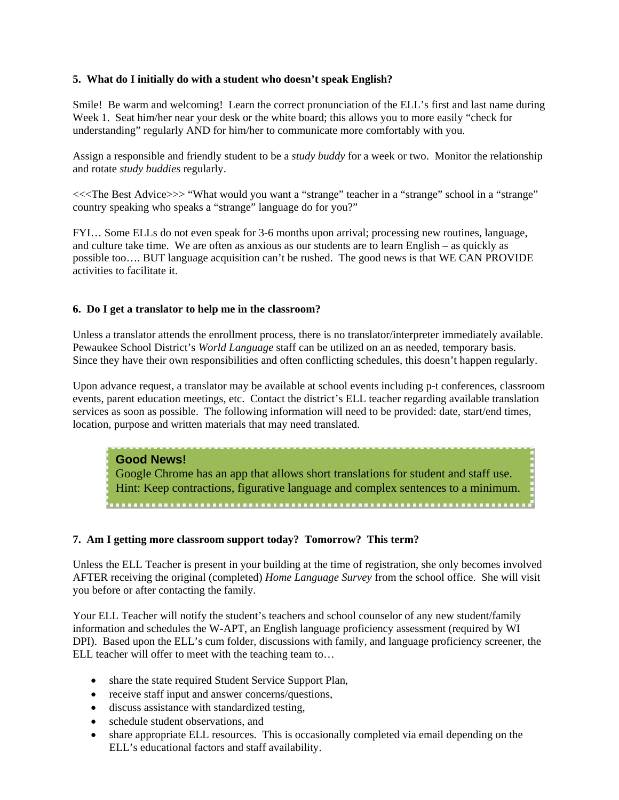### **5. What do I initially do with a student who doesn't speak English?**

Smile! Be warm and welcoming! Learn the correct pronunciation of the ELL's first and last name during Week 1. Seat him/her near your desk or the white board; this allows you to more easily "check for understanding" regularly AND for him/her to communicate more comfortably with you.

Assign a responsible and friendly student to be a *study buddy* for a week or two. Monitor the relationship and rotate *study buddies* regularly.

<<<The Best Advice>>> "What would you want a "strange" teacher in a "strange" school in a "strange" country speaking who speaks a "strange" language do for you?"

FYI… Some ELLs do not even speak for 3-6 months upon arrival; processing new routines, language, and culture take time. We are often as anxious as our students are to learn English – as quickly as possible too…. BUT language acquisition can't be rushed. The good news is that WE CAN PROVIDE activities to facilitate it.

#### **6. Do I get a translator to help me in the classroom?**

Unless a translator attends the enrollment process, there is no translator/interpreter immediately available. Pewaukee School District's *World Language* staff can be utilized on an as needed, temporary basis. Since they have their own responsibilities and often conflicting schedules, this doesn't happen regularly.

Upon advance request, a translator may be available at school events including p-t conferences, classroom events, parent education meetings, etc. Contact the district's ELL teacher regarding available translation services as soon as possible. The following information will need to be provided: date, start/end times, location, purpose and written materials that may need translated.

#### **Good News!**

Google Chrome has an app that allows short translations for student and staff use. Hint: Keep contractions, figurative language and complex sentences to a minimum. 

#### **7. Am I getting more classroom support today? Tomorrow? This term?**

Unless the ELL Teacher is present in your building at the time of registration, she only becomes involved AFTER receiving the original (completed) *Home Language Survey* from the school office. She will visit you before or after contacting the family.

Your ELL Teacher will notify the student's teachers and school counselor of any new student/family information and schedules the W-APT, an English language proficiency assessment (required by WI DPI). Based upon the ELL's cum folder, discussions with family, and language proficiency screener, the ELL teacher will offer to meet with the teaching team to…

- share the state required Student Service Support Plan,
- receive staff input and answer concerns/questions,
- discuss assistance with standardized testing,
- schedule student observations, and
- share appropriate ELL resources. This is occasionally completed via email depending on the ELL's educational factors and staff availability.